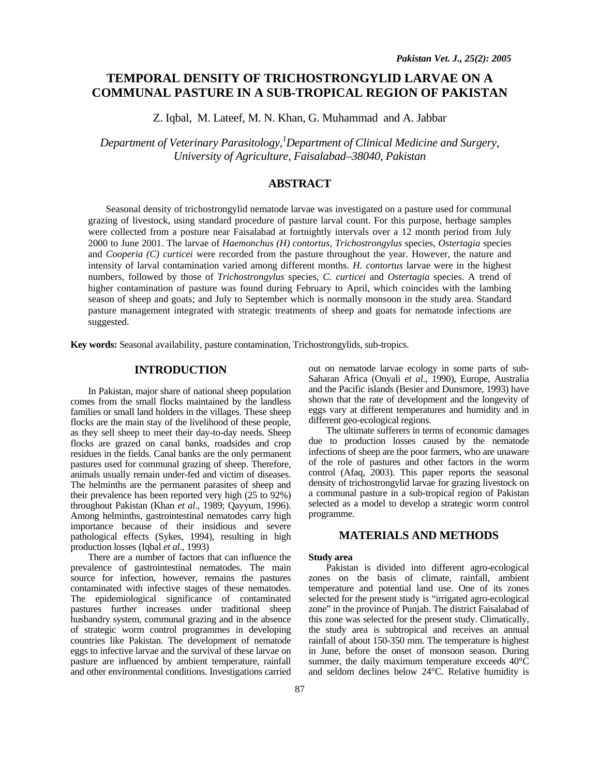# **TEMPORAL DENSITY OF TRICHOSTRONGYLID LARVAE ON A COMMUNAL PASTURE IN A SUB-TROPICAL REGION OF PAKISTAN**

Z. Iqbal, M. Lateef, M. N. Khan, G. Muhammad and A. Jabbar

*Department of Veterinary Parasitology,1 Department of Clinical Medicine and Surgery, University of Agriculture, Faisalabad–38040, Pakistan* 

# **ABSTRACT**

Seasonal density of trichostrongylid nematode larvae was investigated on a pasture used for communal grazing of livestock, using standard procedure of pasture larval count. For this purpose, herbage samples were collected from a posture near Faisalabad at fortnightly intervals over a 12 month period from July 2000 to June 2001. The larvae of *Haemonchus (H) contortus*, *Trichostrongylus* species, *Ostertagia* species and *Cooperia (C) curticei* were recorded from the pasture throughout the year. However, the nature and intensity of larval contamination varied among different months. *H. contortus* larvae were in the highest numbers, followed by those of *Trichostrongylus* species, *C. curticei* and *Ostertagia* species. A trend of higher contamination of pasture was found during February to April, which coincides with the lambing season of sheep and goats; and July to September which is normally monsoon in the study area. Standard pasture management integrated with strategic treatments of sheep and goats for nematode infections are suggested.

**Key words:** Seasonal availability, pasture contamination, Trichostrongylids, sub-tropics.

## **INTRODUCTION**

In Pakistan, major share of national sheep population comes from the small flocks maintained by the landless families or small land holders in the villages. These sheep flocks are the main stay of the livelihood of these people, as they sell sheep to meet their day-to-day needs. Sheep flocks are grazed on canal banks, roadsides and crop residues in the fields. Canal banks are the only permanent pastures used for communal grazing of sheep. Therefore, animals usually remain under-fed and victim of diseases. The helminths are the permanent parasites of sheep and their prevalence has been reported very high (25 to 92%) throughout Pakistan (Khan *et al*., 1989; Qayyum, 1996). Among helminths, gastrointestinal nematodes carry high importance because of their insidious and severe pathological effects (Sykes, 1994), resulting in high production losses (Iqbal *et al*., 1993)

There are a number of factors that can influence the prevalence of gastrointestinal nematodes. The main source for infection, however, remains the pastures contaminated with infective stages of these nematodes. The epidemiological significance of contaminated pastures further increases under traditional sheep husbandry system, communal grazing and in the absence of strategic worm control programmes in developing countries like Pakistan. The development of nematode eggs to infective larvae and the survival of these larvae on pasture are influenced by ambient temperature, rainfall and other environmental conditions. Investigations carried

out on nematode larvae ecology in some parts of sub-Saharan Africa (Onyali *et al*., 1990), Europe, Australia and the Pacific islands (Besier and Dunsmore, 1993) have shown that the rate of development and the longevity of eggs vary at different temperatures and humidity and in different geo-ecological regions.

The ultimate sufferers in terms of economic damages due to production losses caused by the nematode infections of sheep are the poor farmers, who are unaware of the role of pastures and other factors in the worm control (Afaq, 2003). This paper reports the seasonal density of trichostrongylid larvae for grazing livestock on a communal pasture in a sub-tropical region of Pakistan selected as a model to develop a strategic worm control programme.

## **MATERIALS AND METHODS**

#### **Study area**

Pakistan is divided into different agro-ecological zones on the basis of climate, rainfall, ambient temperature and potential land use. One of its zones selected for the present study is "irrigated agro-ecological zone" in the province of Punjab. The district Faisalabad of this zone was selected for the present study. Climatically, the study area is subtropical and receives an annual rainfall of about 150-350 mm. The temperature is highest in June, before the onset of monsoon season. During summer, the daily maximum temperature exceeds 40°C and seldom declines below 24°C. Relative humidity is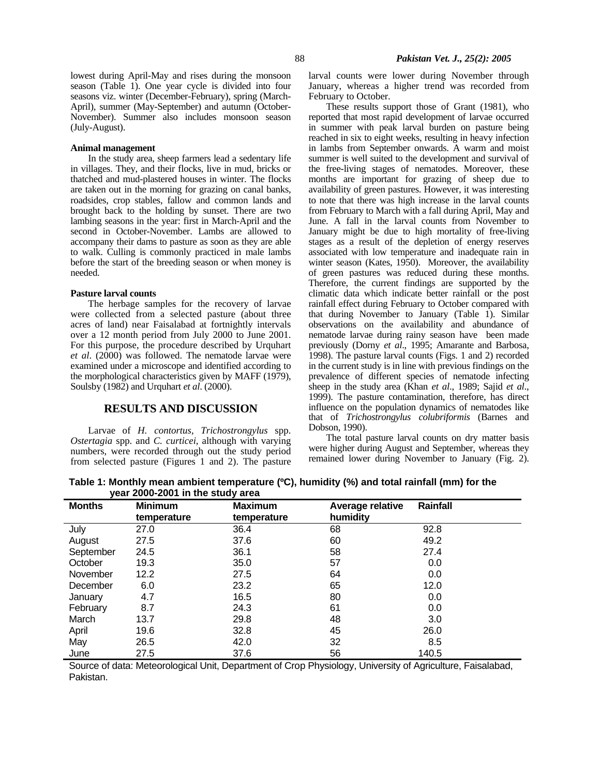lowest during April-May and rises during the monsoon season (Table 1). One year cycle is divided into four seasons viz. winter (December-February), spring (March-April), summer (May-September) and autumn (October-November). Summer also includes monsoon season (July-August).

#### **Animal management**

In the study area, sheep farmers lead a sedentary life in villages. They, and their flocks, live in mud, bricks or thatched and mud-plastered houses in winter. The flocks are taken out in the morning for grazing on canal banks, roadsides, crop stables, fallow and common lands and brought back to the holding by sunset. There are two lambing seasons in the year: first in March-April and the second in October-November. Lambs are allowed to accompany their dams to pasture as soon as they are able to walk. Culling is commonly practiced in male lambs before the start of the breeding season or when money is needed.

#### **Pasture larval counts**

The herbage samples for the recovery of larvae were collected from a selected pasture (about three acres of land) near Faisalabad at fortnightly intervals over a 12 month period from July 2000 to June 2001. For this purpose, the procedure described by Urquhart *et al*. (2000) was followed. The nematode larvae were examined under a microscope and identified according to the morphological characteristics given by MAFF (1979), Soulsby (1982) and Urquhart *et al*. (2000).

### **RESULTS AND DISCUSSION**

Larvae of *H. contortus, Trichostrongylus* spp. *Ostertagia* spp. and *C. curticei*, although with varying numbers, were recorded through out the study period from selected pasture (Figures 1 and 2). The pasture larval counts were lower during November through January, whereas a higher trend was recorded from February to October.

These results support those of Grant (1981), who reported that most rapid development of larvae occurred in summer with peak larval burden on pasture being reached in six to eight weeks, resulting in heavy infection in lambs from September onwards. A warm and moist summer is well suited to the development and survival of the free-living stages of nematodes. Moreover, these months are important for grazing of sheep due to availability of green pastures. However, it was interesting to note that there was high increase in the larval counts from February to March with a fall during April, May and June. A fall in the larval counts from November to January might be due to high mortality of free-living stages as a result of the depletion of energy reserves associated with low temperature and inadequate rain in winter season (Kates, 1950). Moreover, the availability of green pastures was reduced during these months. Therefore, the current findings are supported by the climatic data which indicate better rainfall or the post rainfall effect during February to October compared with that during November to January (Table 1). Similar observations on the availability and abundance of nematode larvae during rainy season have been made previously (Dorny *et al*., 1995; Amarante and Barbosa, 1998). The pasture larval counts (Figs. 1 and 2) recorded in the current study is in line with previous findings on the prevalence of different species of nematode infecting sheep in the study area (Khan *et al*., 1989; Sajid *et al*., 1999). The pasture contamination, therefore, has direct influence on the population dynamics of nematodes like that of *Trichostrongylus colubriformis* (Barnes and Dobson, 1990).

The total pasture larval counts on dry matter basis were higher during August and September, whereas they remained lower during November to January (Fig. 2).

**Table 1: Monthly mean ambient temperature (ºC), humidity (%) and total rainfall (mm) for the year 2000-2001 in the study area** 

| <b>Months</b> | <b>Minimum</b> | <b>Maximum</b> | Average relative | Rainfall |
|---------------|----------------|----------------|------------------|----------|
|               | temperature    | temperature    | humidity         |          |
| July          | 27.0           | 36.4           | 68               | 92.8     |
| August        | 27.5           | 37.6           | 60               | 49.2     |
| September     | 24.5           | 36.1           | 58               | 27.4     |
| October       | 19.3           | 35.0           | 57               | 0.0      |
| November      | 12.2           | 27.5           | 64               | 0.0      |
| December      | 6.0            | 23.2           | 65               | 12.0     |
| January       | 4.7            | 16.5           | 80               | 0.0      |
| February      | 8.7            | 24.3           | 61               | 0.0      |
| March         | 13.7           | 29.8           | 48               | 3.0      |
| April         | 19.6           | 32.8           | 45               | 26.0     |
| May           | 26.5           | 42.0           | 32               | 8.5      |
| June          | 27.5           | 37.6           | 56               | 140.5    |

Source of data: Meteorological Unit, Department of Crop Physiology, University of Agriculture, Faisalabad, Pakistan.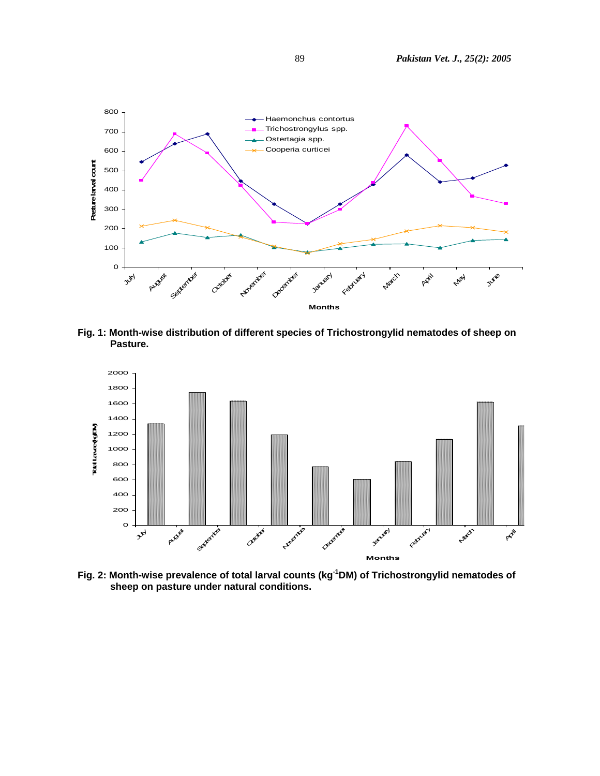

**Fig. 1: Month-wise distribution of different species of Trichostrongylid nematodes of sheep on Pasture.** 



**Fig. 2: Month-wise prevalence of total larval counts (kg-1DM) of Trichostrongylid nematodes of sheep on pasture under natural conditions.**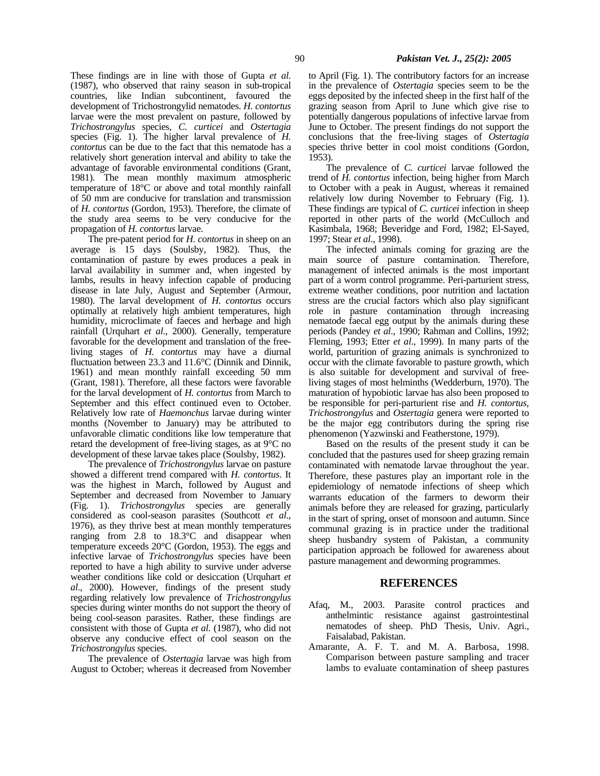These findings are in line with those of Gupta *et al*. (1987), who observed that rainy season in sub-tropical countries, like Indian subcontinent, favoured the development of Trichostrongylid nematodes. *H. contortus* larvae were the most prevalent on pasture, followed by *Trichostrongylus* species, *C. curticei* and *Ostertagia* species (Fig. 1). The higher larval prevalence of *H. contortus* can be due to the fact that this nematode has a relatively short generation interval and ability to take the advantage of favorable environmental conditions (Grant, 1981). The mean monthly maximum atmospheric temperature of 18°C or above and total monthly rainfall of 50 mm are conducive for translation and transmission of *H. contortus* (Gordon, 1953). Therefore, the climate of the study area seems to be very conducive for the propagation of *H. contortus* larvae.

The pre-patent period for *H. contortus* in sheep on an average is 15 days (Soulsby, 1982). Thus, the contamination of pasture by ewes produces a peak in larval availability in summer and, when ingested by lambs, results in heavy infection capable of producing disease in late July, August and September (Armour, 1980). The larval development of *H. contortus* occurs optimally at relatively high ambient temperatures, high humidity, microclimate of faeces and herbage and high rainfall (Urquhart *et al*., 2000). Generally, temperature favorable for the development and translation of the freeliving stages of *H. contortus* may have a diurnal fluctuation between 23.3 and 11.6°C (Dinnik and Dinnik, 1961) and mean monthly rainfall exceeding 50 mm (Grant, 1981). Therefore, all these factors were favorable for the larval development of *H. contortus* from March to September and this effect continued even to October. Relatively low rate of *Haemonchus* larvae during winter months (November to January) may be attributed to unfavorable climatic conditions like low temperature that retard the development of free-living stages, as at 9°C no development of these larvae takes place (Soulsby, 1982).

The prevalence of *Trichostrongylus* larvae on pasture showed a different trend compared with *H. contortus*. It was the highest in March, followed by August and September and decreased from November to January (Fig. 1). *Trichostrongylus* species are generally considered as cool-season parasites (Southcott *et al*., 1976), as they thrive best at mean monthly temperatures ranging from 2.8 to 18.3°C and disappear when temperature exceeds 20°C (Gordon, 1953). The eggs and infective larvae of *Trichostrongylus* species have been reported to have a high ability to survive under adverse weather conditions like cold or desiccation (Urquhart *et al*., 2000). However, findings of the present study regarding relatively low prevalence of *Trichostrongylus* species during winter months do not support the theory of being cool-season parasites. Rather, these findings are consistent with those of Gupta *et al*. (1987), who did not observe any conducive effect of cool season on the *Trichostrongylus* species.

The prevalence of *Ostertagia* larvae was high from August to October; whereas it decreased from November

to April (Fig. 1). The contributory factors for an increase in the prevalence of *Ostertagia* species seem to be the eggs deposited by the infected sheep in the first half of the grazing season from April to June which give rise to potentially dangerous populations of infective larvae from June to October. The present findings do not support the conclusions that the free-living stages of *Ostertagia* species thrive better in cool moist conditions (Gordon, 1953).

The prevalence of *C. curticei* larvae followed the trend of *H. contortus* infection, being higher from March to October with a peak in August, whereas it remained relatively low during November to February (Fig. 1). These findings are typical of *C. curticei* infection in sheep reported in other parts of the world (McCulloch and Kasimbala, 1968; Beveridge and Ford, 1982; El-Sayed, 1997; Stear *et al*., 1998).

The infected animals coming for grazing are the main source of pasture contamination. Therefore, management of infected animals is the most important part of a worm control programme. Peri-parturient stress, extreme weather conditions, poor nutrition and lactation stress are the crucial factors which also play significant role in pasture contamination through increasing nematode faecal egg output by the animals during these periods (Pandey *et al*., 1990; Rahman and Collins, 1992; Fleming, 1993; Etter *et al*., 1999). In many parts of the world, parturition of grazing animals is synchronized to occur with the climate favorable to pasture growth, which is also suitable for development and survival of freeliving stages of most helminths (Wedderburn, 1970). The maturation of hypobiotic larvae has also been proposed to be responsible for peri-parturient rise and *H. contortus, Trichostrongylus* and *Ostertagia* genera were reported to be the major egg contributors during the spring rise phenomenon (Yazwinski and Featherstone, 1979).

Based on the results of the present study it can be concluded that the pastures used for sheep grazing remain contaminated with nematode larvae throughout the year. Therefore, these pastures play an important role in the epidemiology of nematode infections of sheep which warrants education of the farmers to deworm their animals before they are released for grazing, particularly in the start of spring, onset of monsoon and autumn. Since communal grazing is in practice under the traditional sheep husbandry system of Pakistan, a community participation approach be followed for awareness about pasture management and deworming programmes.

### **REFERENCES**

- Afaq, M., 2003. Parasite control practices and anthelmintic resistance against nematodes of sheep. PhD Thesis, Univ. Agri., Faisalabad, Pakistan.
- Amarante, A. F. T. and M. A. Barbosa, 1998. Comparison between pasture sampling and tracer lambs to evaluate contamination of sheep pastures